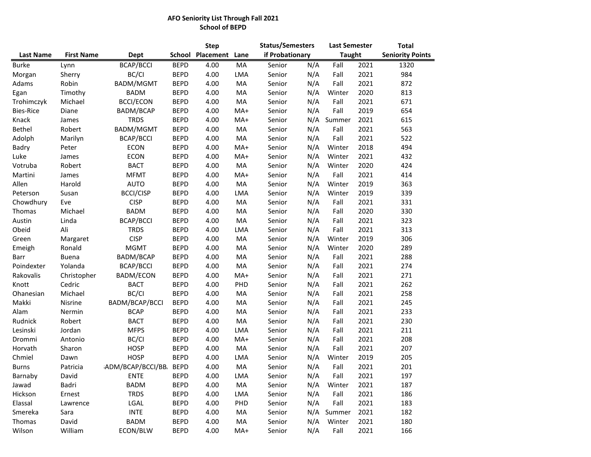## **AFO Seniority List Through Fall 2021 School of BEPD**

|                  |                   |                           |               | <b>Step</b> |       | <b>Status/Semesters</b> |     | <b>Last Semester</b> |      | <b>Total</b>            |  |
|------------------|-------------------|---------------------------|---------------|-------------|-------|-------------------------|-----|----------------------|------|-------------------------|--|
| <b>Last Name</b> | <b>First Name</b> | Dept                      | <b>School</b> | Placement   | Lane  | if Probationary         |     | <b>Taught</b>        |      | <b>Seniority Points</b> |  |
| <b>Burke</b>     | Lynn              | <b>BCAP/BCCI</b>          | <b>BEPD</b>   | 4.00        | MA    | Senior                  | N/A | Fall                 | 2021 | 1320                    |  |
| Morgan           | Sherry            | BC/CI                     | <b>BEPD</b>   | 4.00        | LMA   | Senior                  | N/A | Fall                 | 2021 | 984                     |  |
| Adams            | Robin             | BADM/MGMT                 | <b>BEPD</b>   | 4.00        | MA    | Senior                  | N/A | Fall                 | 2021 | 872                     |  |
| Egan             | Timothy           | <b>BADM</b>               | <b>BEPD</b>   | 4.00        | MA    | Senior                  | N/A | Winter               | 2020 | 813                     |  |
| Trohimczyk       | Michael           | <b>BCCI/ECON</b>          | <b>BEPD</b>   | 4.00        | MA    | Senior                  | N/A | Fall                 | 2021 | 671                     |  |
| <b>Bies-Rice</b> | Diane             | BADM/BCAP                 | <b>BEPD</b>   | 4.00        | MA+   | Senior                  | N/A | Fall                 | 2019 | 654                     |  |
| Knack            | James             | <b>TRDS</b>               | <b>BEPD</b>   | 4.00        | MA+   | Senior                  | N/A | Summer               | 2021 | 615                     |  |
| Bethel           | Robert            | BADM/MGMT                 | <b>BEPD</b>   | 4.00        | MA    | Senior                  | N/A | Fall                 | 2021 | 563                     |  |
| Adolph           | Marilyn           | <b>BCAP/BCCI</b>          | <b>BEPD</b>   | 4.00        | MA    | Senior                  | N/A | Fall                 | 2021 | 522                     |  |
| Badry            | Peter             | <b>ECON</b>               | <b>BEPD</b>   | 4.00        | MA+   | Senior                  | N/A | Winter               | 2018 | 494                     |  |
| Luke             | James             | <b>ECON</b>               | <b>BEPD</b>   | 4.00        | MA+   | Senior                  | N/A | Winter               | 2021 | 432                     |  |
| Votruba          | Robert            | <b>BACT</b>               | <b>BEPD</b>   | 4.00        | MA    | Senior                  | N/A | Winter               | 2020 | 424                     |  |
| Martini          | James             | <b>MFMT</b>               | <b>BEPD</b>   | 4.00        | MA+   | Senior                  | N/A | Fall                 | 2021 | 414                     |  |
| Allen            | Harold            | <b>AUTO</b>               | <b>BEPD</b>   | 4.00        | MA    | Senior                  | N/A | Winter               | 2019 | 363                     |  |
| Peterson         | Susan             | <b>BCCI/CISP</b>          | <b>BEPD</b>   | 4.00        | LMA   | Senior                  | N/A | Winter               | 2019 | 339                     |  |
| Chowdhury        | Eve               | <b>CISP</b>               | <b>BEPD</b>   | 4.00        | MA    | Senior                  | N/A | Fall                 | 2021 | 331                     |  |
| Thomas           | Michael           | <b>BADM</b>               | <b>BEPD</b>   | 4.00        | MA    | Senior                  | N/A | Fall                 | 2020 | 330                     |  |
| Austin           | Linda             | <b>BCAP/BCCI</b>          | <b>BEPD</b>   | 4.00        | MA    | Senior                  | N/A | Fall                 | 2021 | 323                     |  |
| Obeid            | Ali               | <b>TRDS</b>               | <b>BEPD</b>   | 4.00        | LMA   | Senior                  | N/A | Fall                 | 2021 | 313                     |  |
| Green            | Margaret          | <b>CISP</b>               | <b>BEPD</b>   | 4.00        | MA    | Senior                  | N/A | Winter               | 2019 | 306                     |  |
| Emeigh           | Ronald            | <b>MGMT</b>               | <b>BEPD</b>   | 4.00        | MA    | Senior                  | N/A | Winter               | 2020 | 289                     |  |
| Barr             | <b>Buena</b>      | BADM/BCAP                 | <b>BEPD</b>   | 4.00        | MA    | Senior                  | N/A | Fall                 | 2021 | 288                     |  |
| Poindexter       | Yolanda           | <b>BCAP/BCCI</b>          | <b>BEPD</b>   | 4.00        | MA    | Senior                  | N/A | Fall                 | 2021 | 274                     |  |
| Rakovalis        | Christopher       | <b>BADM/ECON</b>          | <b>BEPD</b>   | 4.00        | $MA+$ | Senior                  | N/A | Fall                 | 2021 | 271                     |  |
| Knott            | Cedric            | <b>BACT</b>               | <b>BEPD</b>   | 4.00        | PHD   | Senior                  | N/A | Fall                 | 2021 | 262                     |  |
| Ohanesian        | Michael           | BC/CI                     | <b>BEPD</b>   | 4.00        | MA    | Senior                  | N/A | Fall                 | 2021 | 258                     |  |
| Makki            | Nisrine           | BADM/BCAP/BCCI            | <b>BEPD</b>   | 4.00        | MA    | Senior                  | N/A | Fall                 | 2021 | 245                     |  |
| Alam             | Nermin            | <b>BCAP</b>               | <b>BEPD</b>   | 4.00        | MA    | Senior                  | N/A | Fall                 | 2021 | 233                     |  |
| Rudnick          | Robert            | <b>BACT</b>               | <b>BEPD</b>   | 4.00        | MA    | Senior                  | N/A | Fall                 | 2021 | 230                     |  |
| Lesinski         | Jordan            | <b>MFPS</b>               | <b>BEPD</b>   | 4.00        | LMA   | Senior                  | N/A | Fall                 | 2021 | 211                     |  |
| Drommi           | Antonio           | BC/CI                     | <b>BEPD</b>   | 4.00        | MA+   | Senior                  | N/A | Fall                 | 2021 | 208                     |  |
| Horvath          | Sharon            | <b>HOSP</b>               | <b>BEPD</b>   | 4.00        | MA    | Senior                  | N/A | Fall                 | 2021 | 207                     |  |
| Chmiel           | Dawn              | <b>HOSP</b>               | <b>BEPD</b>   | 4.00        | LMA   | Senior                  | N/A | Winter               | 2019 | 205                     |  |
| <b>Burns</b>     | Patricia          | <b>IADM/BCAP/BCCI/BB.</b> | <b>BEPD</b>   | 4.00        | MA    | Senior                  | N/A | Fall                 | 2021 | 201                     |  |
| Barnaby          | David             | <b>ENTE</b>               | <b>BEPD</b>   | 4.00        | LMA   | Senior                  | N/A | Fall                 | 2021 | 197                     |  |
| Jawad            | Badri             | BADM                      | <b>BEPD</b>   | 4.00        | MA    | Senior                  | N/A | Winter               | 2021 | 187                     |  |
| Hickson          | Ernest            | <b>TRDS</b>               | <b>BEPD</b>   | 4.00        | LMA   | Senior                  | N/A | Fall                 | 2021 | 186                     |  |
| Elassal          | Lawrence          | LGAL                      | <b>BEPD</b>   | 4.00        | PHD   | Senior                  | N/A | Fall                 | 2021 | 183                     |  |
| Smereka          | Sara              | <b>INTE</b>               | <b>BEPD</b>   | 4.00        | MA    | Senior                  |     | N/A Summer           | 2021 | 182                     |  |
| Thomas           | David             | <b>BADM</b>               | <b>BEPD</b>   | 4.00        | MA    | Senior                  | N/A | Winter               | 2021 | 180                     |  |
| Wilson           | William           | ECON/BLW                  | <b>BEPD</b>   | 4.00        | MA+   | Senior                  | N/A | Fall                 | 2021 | 166                     |  |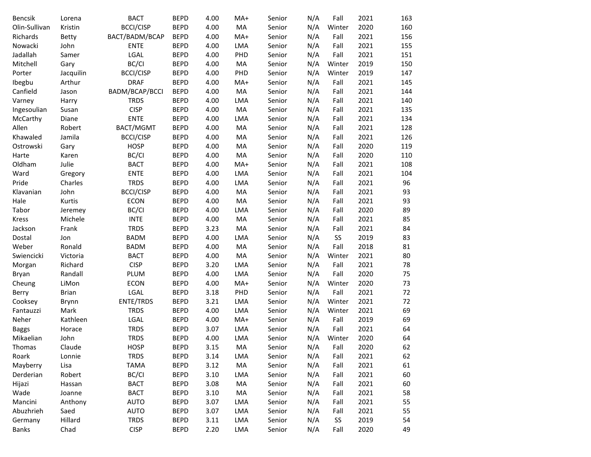| Bencsik       | Lorena       | <b>BACT</b>      | <b>BEPD</b> | 4.00 | MA+        | Senior | N/A | Fall   | 2021 | 163 |
|---------------|--------------|------------------|-------------|------|------------|--------|-----|--------|------|-----|
| Olin-Sullivan | Kristin      | <b>BCCI/CISP</b> | <b>BEPD</b> | 4.00 | MA         | Senior | N/A | Winter | 2020 | 160 |
| Richards      | <b>Betty</b> | BACT/BADM/BCAP   | <b>BEPD</b> | 4.00 | MA+        | Senior | N/A | Fall   | 2021 | 156 |
| Nowacki       | John         | <b>ENTE</b>      | <b>BEPD</b> | 4.00 | LMA        | Senior | N/A | Fall   | 2021 | 155 |
| Jadallah      | Samer        | LGAL             | <b>BEPD</b> | 4.00 | PHD        | Senior | N/A | Fall   | 2021 | 151 |
| Mitchell      | Gary         | BC/CI            | <b>BEPD</b> | 4.00 | MA         | Senior | N/A | Winter | 2019 | 150 |
| Porter        | Jacquilin    | <b>BCCI/CISP</b> | <b>BEPD</b> | 4.00 | PHD        | Senior | N/A | Winter | 2019 | 147 |
| Ibegbu        | Arthur       | <b>DRAF</b>      | <b>BEPD</b> | 4.00 | MA+        | Senior | N/A | Fall   | 2021 | 145 |
| Canfield      | Jason        | BADM/BCAP/BCCI   | <b>BEPD</b> | 4.00 | MA         | Senior | N/A | Fall   | 2021 | 144 |
| Varney        | Harry        | <b>TRDS</b>      | <b>BEPD</b> | 4.00 | LMA        | Senior | N/A | Fall   | 2021 | 140 |
| Ingesoulian   | Susan        | <b>CISP</b>      | <b>BEPD</b> | 4.00 | MA         | Senior | N/A | Fall   | 2021 | 135 |
| McCarthy      | Diane        | <b>ENTE</b>      | <b>BEPD</b> | 4.00 | LMA        | Senior | N/A | Fall   | 2021 | 134 |
| Allen         | Robert       | BACT/MGMT        | <b>BEPD</b> | 4.00 | MA         | Senior | N/A | Fall   | 2021 | 128 |
| Khawaled      | Jamila       | <b>BCCI/CISP</b> | <b>BEPD</b> | 4.00 | MA         | Senior | N/A | Fall   | 2021 | 126 |
| Ostrowski     | Gary         | <b>HOSP</b>      | <b>BEPD</b> | 4.00 | MA         | Senior | N/A | Fall   | 2020 | 119 |
| Harte         | Karen        | BC/CI            | <b>BEPD</b> | 4.00 | MA         | Senior | N/A | Fall   | 2020 | 110 |
| Oldham        | Julie        | <b>BACT</b>      | <b>BEPD</b> | 4.00 | MA+        | Senior | N/A | Fall   | 2021 | 108 |
| Ward          | Gregory      | <b>ENTE</b>      | <b>BEPD</b> | 4.00 | LMA        | Senior | N/A | Fall   | 2021 | 104 |
| Pride         | Charles      | <b>TRDS</b>      | <b>BEPD</b> | 4.00 | LMA        | Senior | N/A | Fall   | 2021 | 96  |
| Klavanian     | John         | <b>BCCI/CISP</b> | <b>BEPD</b> | 4.00 | MA         | Senior | N/A | Fall   | 2021 | 93  |
| Hale          | Kurtis       | <b>ECON</b>      | <b>BEPD</b> | 4.00 | MA         | Senior | N/A | Fall   | 2021 | 93  |
| Tabor         | Jeremey      | BC/CI            | <b>BEPD</b> | 4.00 | LMA        | Senior | N/A | Fall   | 2020 | 89  |
| <b>Kress</b>  | Michele      | <b>INTE</b>      | <b>BEPD</b> | 4.00 | MA         | Senior | N/A | Fall   | 2021 | 85  |
| Jackson       | Frank        | <b>TRDS</b>      | <b>BEPD</b> | 3.23 | MA         | Senior | N/A | Fall   | 2021 | 84  |
| Dostal        | Jon          | <b>BADM</b>      | <b>BEPD</b> | 4.00 | LMA        | Senior | N/A | SS     | 2019 | 83  |
| Weber         | Ronald       | <b>BADM</b>      | <b>BEPD</b> | 4.00 | MA         | Senior | N/A | Fall   | 2018 | 81  |
| Swiencicki    | Victoria     | <b>BACT</b>      | <b>BEPD</b> | 4.00 | MA         | Senior | N/A | Winter | 2021 | 80  |
| Morgan        | Richard      | <b>CISP</b>      | <b>BEPD</b> | 3.20 | LMA        | Senior | N/A | Fall   | 2021 | 78  |
| Bryan         | Randall      | PLUM             | <b>BEPD</b> | 4.00 | LMA        | Senior | N/A | Fall   | 2020 | 75  |
| Cheung        | LiMon        | <b>ECON</b>      | <b>BEPD</b> | 4.00 | MA+        | Senior | N/A | Winter | 2020 | 73  |
| Berry         | <b>Brian</b> | LGAL             | <b>BEPD</b> | 3.18 | PHD        | Senior | N/A | Fall   | 2021 | 72  |
| Cooksey       | Brynn        | ENTE/TRDS        | <b>BEPD</b> | 3.21 | LMA        | Senior | N/A | Winter | 2021 | 72  |
| Fantauzzi     | Mark         | <b>TRDS</b>      | <b>BEPD</b> | 4.00 | LMA        | Senior | N/A | Winter | 2021 | 69  |
| Neher         | Kathleen     | LGAL             | <b>BEPD</b> | 4.00 | MA+        | Senior | N/A | Fall   | 2019 | 69  |
| <b>Baggs</b>  | Horace       | <b>TRDS</b>      | <b>BEPD</b> | 3.07 | LMA        | Senior | N/A | Fall   | 2021 | 64  |
| Mikaelian     | John         | <b>TRDS</b>      | <b>BEPD</b> | 4.00 | LMA        | Senior | N/A | Winter | 2020 | 64  |
| Thomas        | Claude       | <b>HOSP</b>      | <b>BEPD</b> | 3.15 | MA         | Senior | N/A | Fall   | 2020 | 62  |
| Roark         | Lonnie       | <b>TRDS</b>      | <b>BEPD</b> | 3.14 | LMA        | Senior | N/A | Fall   | 2021 | 62  |
| Mayberry      | Lisa         | <b>TAMA</b>      | <b>BEPD</b> | 3.12 | MA         | Senior | N/A | Fall   | 2021 | 61  |
| Derderian     | Robert       | BC/CI            | <b>BEPD</b> | 3.10 | LMA        | Senior | N/A | Fall   | 2021 | 60  |
| Hijazi        | Hassan       | <b>BACT</b>      | <b>BEPD</b> | 3.08 | MA         | Senior | N/A | Fall   | 2021 | 60  |
| Wade          | Joanne       | <b>BACT</b>      | <b>BEPD</b> | 3.10 | MA         | Senior | N/A | Fall   | 2021 | 58  |
| Mancini       | Anthony      | <b>AUTO</b>      | <b>BEPD</b> | 3.07 | LMA        | Senior | N/A | Fall   | 2021 | 55  |
| Abuzhrieh     | Saed         | <b>AUTO</b>      | <b>BEPD</b> | 3.07 | LMA        | Senior | N/A | Fall   | 2021 | 55  |
| Germany       | Hillard      | <b>TRDS</b>      | <b>BEPD</b> | 3.11 | <b>LMA</b> | Senior | N/A | SS     | 2019 | 54  |
| Banks         | Chad         | <b>CISP</b>      | <b>BEPD</b> | 2.20 | LMA        | Senior | N/A | Fall   | 2020 | 49  |
|               |              |                  |             |      |            |        |     |        |      |     |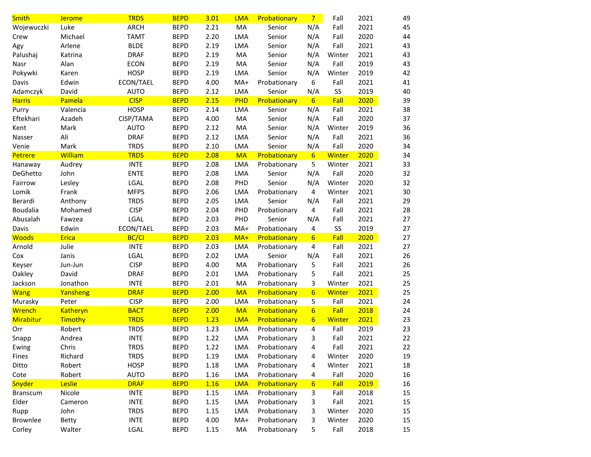| <b>Smith</b>    | <b>Jerome</b>   | <b>TRDS</b>  | <b>BEPD</b> | 3.01 | <b>LMA</b> | Probationary | $7 -$            | Fall          | 2021 |
|-----------------|-----------------|--------------|-------------|------|------------|--------------|------------------|---------------|------|
| Wojewuczki      | Luke            | <b>ARCH</b>  | <b>BEPD</b> | 2.21 | MA         | Senior       | N/A              | Fall          | 2021 |
| Crew            | Michael         | <b>TAMT</b>  | <b>BEPD</b> | 2.20 | LMA        | Senior       | N/A              | Fall          | 2020 |
| Agy             | Arlene          | <b>BLDE</b>  | <b>BEPD</b> | 2.19 | LMA        | Senior       | N/A              | Fall          | 2021 |
| Palushaj        | Katrina         | <b>DRAF</b>  | <b>BEPD</b> | 2.19 | MA         | Senior       | N/A              | Winter        | 2021 |
| Nasr            | Alan            | <b>ECON</b>  | <b>BEPD</b> | 2.19 | MA         | Senior       | N/A              | Fall          | 2019 |
| Pokywki         | Karen           | <b>HOSP</b>  | <b>BEPD</b> | 2.19 | <b>LMA</b> | Senior       | N/A              | Winter        | 2019 |
| Davis           | Edwin           | ECON/TAEL    | <b>BEPD</b> | 4.00 | $MA+$      | Probationary | 6                | Fall          | 2021 |
| Adamczyk        | David           | <b>AUTO</b>  | <b>BEPD</b> | 2.12 | LMA        | Senior       | N/A              | SS            | 2019 |
| <b>Harris</b>   | Pamela          | <b>CISP</b>  | <b>BEPD</b> | 2.15 | PHD        | Probationary | $6 \overline{6}$ | Fall          | 2020 |
| Purry           | Valencia        | <b>HOSP</b>  | <b>BEPD</b> | 2.14 | LMA        | Senior       | N/A              | Fall          | 2021 |
| Eftekhari       | Azadeh          | CISP/TAMA    | <b>BEPD</b> | 4.00 | MA         | Senior       | N/A              | Fall          | 2020 |
| Kent            | Mark            | <b>AUTO</b>  | <b>BEPD</b> | 2.12 | MA         | Senior       | N/A              | Winter        | 2019 |
| Nasser          | Ali             | <b>DRAF</b>  | <b>BEPD</b> | 2.12 | LMA        | Senior       | N/A              | Fall          | 2021 |
| Venie           | Mark            | <b>TRDS</b>  | <b>BEPD</b> | 2.10 | LMA        | Senior       | N/A              | Fall          | 2020 |
| Petrere         | William         | <b>TRDS</b>  | <b>BEPD</b> | 2.08 | <b>MA</b>  | Probationary | $6\overline{6}$  | Winter        | 2020 |
| Hanaway         | Audrey          | <b>INTE</b>  | <b>BEPD</b> | 2.08 | LMA        | Probationary | 5                | Winter        | 2021 |
| DeGhetto        | John            | <b>ENTE</b>  | <b>BEPD</b> | 2.08 | LMA        | Senior       | N/A              | Fall          | 2020 |
| Fairrow         | Lesley          | LGAL         | <b>BEPD</b> | 2.08 | PHD        | Senior       | N/A              | Winter        | 2020 |
| Lomik           | Frank           | <b>MFPS</b>  | <b>BEPD</b> | 2.06 | LMA        | Probationary | 4                | Winter        | 2021 |
| Berardi         | Anthony         | <b>TRDS</b>  | <b>BEPD</b> | 2.05 | LMA        | Senior       | N/A              | Fall          | 2021 |
| Boudalia        | Mohamed         | <b>CISP</b>  | <b>BEPD</b> | 2.04 | PHD        | Probationary | 4                | Fall          | 2021 |
| Abusalah        | Fawzea          | LGAL         | <b>BEPD</b> | 2.03 | PHD        | Senior       | N/A              | Fall          | 2021 |
| Davis           | Edwin           | ECON/TAEL    | <b>BEPD</b> | 2.03 | $MA+$      | Probationary | 4                | SS            | 2019 |
| <b>Woods</b>    | Erica           | <b>BC/CI</b> | <b>BEPD</b> | 2.03 | MA+        | Probationary | $6 \overline{6}$ | Fall          | 2020 |
| Arnold          | Julie           | <b>INTE</b>  | <b>BEPD</b> | 2.03 | LMA        | Probationary | 4                | Fall          | 2021 |
| Cox             | Janis           | LGAL         | <b>BEPD</b> | 2.02 | LMA        | Senior       | N/A              | Fall          | 2021 |
| Keyser          | Jun-Jun         | <b>CISP</b>  | <b>BEPD</b> | 4.00 | MA         | Probationary | 5                | Fall          | 2021 |
| Oakley          | David           | <b>DRAF</b>  | <b>BEPD</b> | 2.01 | LMA        | Probationary | 5                | Fall          | 2021 |
| Jackson         | Jonathon        | <b>INTE</b>  | <b>BEPD</b> | 2.01 | MA         | Probationary | 3                | Winter        | 2021 |
| <b>Wang</b>     | Yansheng        | <b>DRAF</b>  | <b>BEPD</b> | 2.00 | <b>MA</b>  | Probationary | $6\overline{6}$  | <b>Winter</b> | 2021 |
| Murasky         | Peter           | <b>CISP</b>  | <b>BEPD</b> | 2.00 | LMA        | Probationary | 5                | Fall          | 2021 |
| Wrench          | <b>Katheryn</b> | <b>BACT</b>  | <b>BEPD</b> | 2.00 | <b>MA</b>  | Probationary | $6\overline{6}$  | Fall          | 2018 |
| Mirabitur       | Timothy         | <b>TRDS</b>  | <b>BEPD</b> | 1.23 | <b>LMA</b> | Probationary | $6\overline{6}$  | Winter        | 2021 |
| Orr             | Robert          | <b>TRDS</b>  | <b>BEPD</b> | 1.23 | LMA        | Probationary | 4                | Fall          | 2019 |
| Snapp           | Andrea          | <b>INTE</b>  | <b>BEPD</b> | 1.22 | <b>LMA</b> | Probationary | 3                | Fall          | 2021 |
| Ewing           | Chris           | <b>TRDS</b>  | <b>BEPD</b> | 1.22 | LMA        | Probationary | 4                | Fall          | 2021 |
| Fines           | Richard         | <b>TRDS</b>  | <b>BEPD</b> | 1.19 | LMA        | Probationary | 4                | Winter        | 2020 |
| Ditto           | Robert          | <b>HOSP</b>  | <b>BEPD</b> | 1.18 | LMA        | Probationary | 4                | Winter        | 2021 |
| Cote            | Robert          | <b>AUTO</b>  | <b>BEPD</b> | 1.16 | LMA        | Probationary | 4                | Fall          | 2020 |
| Snyder          | Leslie          | <b>DRAF</b>  | <b>BEPD</b> | 1.16 | <b>LMA</b> | Probationary | $6\phantom{1}6$  | Fall          | 2019 |
| <b>Branscum</b> | Nicole          | <b>INTE</b>  | <b>BEPD</b> | 1.15 | LMA        | Probationary | 3                | Fall          | 2018 |
| Elder           | Cameron         | <b>INTE</b>  | <b>BEPD</b> | 1.15 | LMA        | Probationary | 3                | Fall          | 2021 |
| Rupp            | John            | <b>TRDS</b>  | <b>BEPD</b> | 1.15 | LMA        | Probationary | 3                | Winter        | 2020 |
| Brownlee        | <b>Betty</b>    | <b>INTE</b>  | <b>BEPD</b> | 4.00 | MA+        | Probationary | 3                | Winter        | 2020 |
| Corley          | Walter          | LGAL         | <b>BEPD</b> | 1.15 | MA         | Probationary | 5                | Fall          | 2018 |